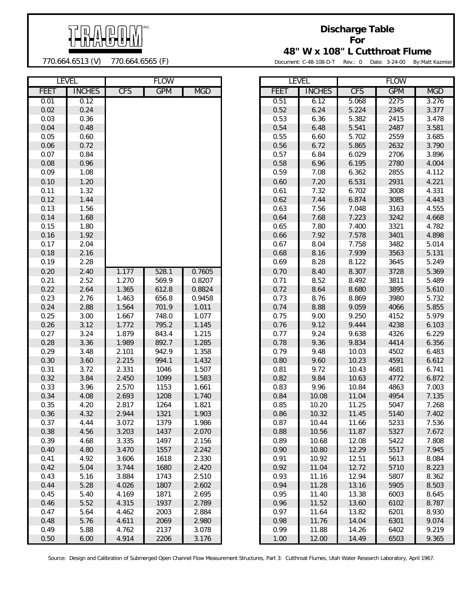

**Discharge Table For 48" W x 108" L Cutthroat Flume**

770.664.6513 (V) 770.664.6565 (F)

Document: C-48-108-D-T Rev.: 0 Date: 3-24-00 By:Matt Kazmier

|              | <b>LEVEL</b>  |                | <b>FLOW</b> |                  |              | <b>LEVEL</b>  |            | <b>FLOW</b>  |            |
|--------------|---------------|----------------|-------------|------------------|--------------|---------------|------------|--------------|------------|
| <b>FEET</b>  | <b>INCHES</b> | <b>CFS</b>     | <b>GPM</b>  | <b>MGD</b>       | <b>FEET</b>  | <b>INCHES</b> | <b>CFS</b> | <b>GPM</b>   | <b>MGD</b> |
| 0.01         | 0.12          |                |             |                  | 0.51         | 6.12          | 5.068      | 2275         | 3.276      |
| 0.02         | 0.24          |                |             |                  | 0.52         | 6.24          | 5.224      | 2345         | 3.377      |
| 0.03         | 0.36          |                |             |                  | 0.53         | 6.36          | 5.382      | 2415         | 3.478      |
| 0.04         | 0.48          |                |             |                  | 0.54         | 6.48          | 5.541      | 2487         | 3.581      |
| 0.05         | 0.60          |                |             |                  | 0.55         | 6.60          | 5.702      | 2559         | 3.685      |
| 0.06         | 0.72          |                |             |                  | 0.56         | 6.72          | 5.865      | 2632         | 3.790      |
| 0.07         | 0.84          |                |             |                  | 0.57         | 6.84          | 6.029      | 2706         | 3.896      |
| 0.08         | 0.96          |                |             |                  | 0.58         | 6.96          | 6.195      | 2780         | 4.004      |
| 0.09         | 1.08          |                |             |                  | 0.59         | 7.08          | 6.362      | 2855         | 4.112      |
| 0.10         | 1.20          |                |             |                  | 0.60         | 7.20          | 6.531      | 2931         | 4.221      |
| 0.11         | 1.32          |                |             |                  | 0.61         | 7.32          | 6.702      | 3008         | 4.331      |
| 0.12         | 1.44          |                |             |                  | 0.62         | 7.44          | 6.874      | 3085         | 4.443      |
| 0.13         | 1.56          |                |             |                  | 0.63         | 7.56          | 7.048      | 3163         | 4.555      |
| 0.14         | 1.68          |                |             |                  | 0.64         | 7.68          | 7.223      | 3242         | 4.668      |
| 0.15         | 1.80          |                |             |                  | 0.65         | 7.80          | 7.400      | 3321         | 4.782      |
| 0.16         | 1.92          |                |             |                  | 0.66         | 7.92          | 7.578      | 3401         | 4.898      |
| 0.17         | 2.04          |                |             |                  | 0.67         | 8.04          | 7.758      | 3482         | 5.014      |
| 0.18         | 2.16          |                |             |                  | 0.68         | 8.16          | 7.939      | 3563         | 5.131      |
| 0.19         | 2.28          |                |             |                  | 0.69         | 8.28          | 8.122      | 3645         | 5.249      |
| 0.20         |               |                | 528.1       |                  |              |               |            | 3728         |            |
| 0.21         | 2.40<br>2.52  | 1.177<br>1.270 |             | 0.7605<br>0.8207 | 0.70<br>0.71 | 8.40<br>8.52  | 8.307      |              | 5.369      |
|              |               |                | 569.9       | 0.8824           | 0.72         |               | 8.492      | 3811<br>3895 | 5.489      |
| 0.22         | 2.64          | 1.365          | 612.8       |                  | 0.73         | 8.64          | 8.680      | 3980         | 5.610      |
| 0.23<br>0.24 | 2.76          | 1.463          | 656.8       | 0.9458           |              | 8.76          | 8.869      |              | 5.732      |
|              | 2.88          | 1.564          | 701.9       | 1.011            | 0.74         | 8.88          | 9.059      | 4066         | 5.855      |
| 0.25         | 3.00          | 1.667          | 748.0       | 1.077            | 0.75         | 9.00          | 9.250      | 4152         | 5.979      |
| 0.26         | 3.12          | 1.772          | 795.2       | 1.145            | 0.76         | 9.12          | 9.444      | 4238         | 6.103      |
| 0.27         | 3.24          | 1.879          | 843.4       | 1.215            | 0.77         | 9.24          | 9.638      | 4326         | 6.229      |
| 0.28         | 3.36          | 1.989          | 892.7       | 1.285            | 0.78         | 9.36          | 9.834      | 4414         | 6.356      |
| 0.29         | 3.48          | 2.101          | 942.9       | 1.358            | 0.79         | 9.48          | 10.03      | 4502         | 6.483      |
| 0.30         | 3.60          | 2.215          | 994.1       | 1.432            | 0.80         | 9.60          | 10.23      | 4591         | 6.612      |
| 0.31         | 3.72          | 2.331          | 1046        | 1.507            | 0.81         | 9.72          | 10.43      | 4681         | 6.741      |
| 0.32         | 3.84          | 2.450          | 1099        | 1.583            | 0.82         | 9.84          | 10.63      | 4772         | 6.872      |
| 0.33         | 3.96          | 2.570          | 1153        | 1.661            | 0.83         | 9.96          | 10.84      | 4863         | 7.003      |
| 0.34         | 4.08          | 2.693          | 1208        | 1.740            | 0.84         | 10.08         | 11.04      | 4954         | 7.135      |
| 0.35         | 4.20          | 2.817          | 1264        | 1.821            | 0.85         | 10.20         | 11.25      | 5047         | 7.268      |
| 0.36         | 4.32          | 2.944          | 1321        | 1.903            | 0.86         | 10.32         | 11.45      | 5140         | 7.402      |
| 0.37         | 4.44          | 3.072          | 1379        | 1.986            | 0.87         | 10.44         | 11.66      | 5233         | 7.536      |
| 0.38         | 4.56          | 3.203          | 1437        | 2.070            | 0.88         | 10.56         | 11.87      | 5327         | 7.672      |
| 0.39         | 4.68          | 3.335          | 1497        | 2.156            | 0.89         | 10.68         | 12.08      | 5422         | 7.808      |
| 0.40         | 4.80          | 3.470          | 1557        | 2.242            | 0.90         | 10.80         | 12.29      | 5517         | 7.945      |
| 0.41         | 4.92          | 3.606          | 1618        | 2.330            | 0.91         | 10.92         | 12.51      | 5613         | 8.084      |
| 0.42         | 5.04          | 3.744          | 1680        | 2.420            | 0.92         | 11.04         | 12.72      | 5710         | 8.223      |
| 0.43         | 5.16          | 3.884          | 1743        | 2.510            | 0.93         | 11.16         | 12.94      | 5807         | 8.362      |
| 0.44         | 5.28          | 4.026          | 1807        | 2.602            | 0.94         | 11.28         | 13.16      | 5905         | 8.503      |
| 0.45         | 5.40          | 4.169          | 1871        | 2.695            | 0.95         | 11.40         | 13.38      | 6003         | 8.645      |
| 0.46         | 5.52          | 4.315          | 1937        | 2.789            | 0.96         | 11.52         | 13.60      | 6102         | 8.787      |
| 0.47         | 5.64          | 4.462          | 2003        | 2.884            | 0.97         | 11.64         | 13.82      | 6201         | 8.930      |
| 0.48         | 5.76          | 4.611          | 2069        | 2.980            | 0.98         | 11.76         | 14.04      | 6301         | 9.074      |
| 0.49         | 5.88          | 4.762          | 2137        | 3.078            | 0.99         | 11.88         | 14.26      | 6402         | 9.219      |
| 0.50         | 6.00          | 4.914          | 2206        | 3.176            | 1.00         | 12.00         | 14.49      | 6503         | 9.365      |

| LEVEL  |               |            | <b>FLUW</b> |            |             | ᄕᅜᄔ           |            | <b>FLUW</b> |            |
|--------|---------------|------------|-------------|------------|-------------|---------------|------------|-------------|------------|
| EET    | <b>INCHES</b> | <b>CFS</b> | <b>GPM</b>  | <b>MGD</b> | <b>FEET</b> | <b>INCHES</b> | <b>CFS</b> | <b>GPM</b>  | <b>MGD</b> |
| 0.01   | 0.12          |            |             |            | 0.51        | 6.12          | 5.068      | 2275        | 3.276      |
| 0.02   | 0.24          |            |             |            | 0.52        | 6.24          | 5.224      | 2345        | 3.377      |
| 0.03   | 0.36          |            |             |            | 0.53        | 6.36          | 5.382      | 2415        | 3.478      |
| 0.04   | 0.48          |            |             |            | 0.54        | 6.48          | 5.541      | 2487        | 3.581      |
| 0.05   | 0.60          |            |             |            | 0.55        | 6.60          | 5.702      | 2559        | 3.685      |
| 0.06   | 0.72          |            |             |            | 0.56        | 6.72          | 5.865      | 2632        | 3.790      |
| 0.07   | 0.84          |            |             |            | 0.57        | 6.84          | 6.029      | 2706        | 3.896      |
| 0.08   | 0.96          |            |             |            | 0.58        | 6.96          | 6.195      | 2780        | 4.004      |
| 0.09   | 1.08          |            |             |            | 0.59        | 7.08          | 6.362      | 2855        | 4.112      |
| 0.10   | 1.20          |            |             |            | 0.60        | 7.20          | 6.531      | 2931        | 4.221      |
| 0.11   | 1.32          |            |             |            | 0.61        | 7.32          | 6.702      | 3008        | 4.331      |
|        | 1.44          |            |             |            |             |               |            |             |            |
| 0.12   |               |            |             |            | 0.62        | 7.44          | 6.874      | 3085        | 4.443      |
| 0.13   | 1.56          |            |             |            | 0.63        | 7.56          | 7.048      | 3163        | 4.555      |
| 0.14   | 1.68          |            |             |            | 0.64        | 7.68          | 7.223      | 3242        | 4.668      |
| 0.15   | 1.80          |            |             |            | 0.65        | 7.80          | 7.400      | 3321        | 4.782      |
| 0.16   | 1.92          |            |             |            | 0.66        | 7.92          | 7.578      | 3401        | 4.898      |
| 0.17   | 2.04          |            |             |            | 0.67        | 8.04          | 7.758      | 3482        | 5.014      |
| 0.18   | 2.16          |            |             |            | 0.68        | 8.16          | 7.939      | 3563        | 5.131      |
| 0.19   | 2.28          |            |             |            | 0.69        | 8.28          | 8.122      | 3645        | 5.249      |
| 0.20   | 2.40          | 1.177      | 528.1       | 0.7605     | 0.70        | 8.40          | 8.307      | 3728        | 5.369      |
| 0.21   | 2.52          | 1.270      | 569.9       | 0.8207     | 0.71        | 8.52          | 8.492      | 3811        | 5.489      |
| 0.22   | 2.64          | 1.365      | 612.8       | 0.8824     | 0.72        | 8.64          | 8.680      | 3895        | 5.610      |
| 0.23   | 2.76          | 1.463      | 656.8       | 0.9458     | 0.73        | 8.76          | 8.869      | 3980        | 5.732      |
| 0.24   | 2.88          | 1.564      | 701.9       | 1.011      | 0.74        | 8.88          | 9.059      | 4066        | 5.855      |
| 0.25   | 3.00          | 1.667      | 748.0       | 1.077      | 0.75        | 9.00          | 9.250      | 4152        | 5.979      |
| 0.26   | 3.12          | 1.772      | 795.2       | 1.145      | 0.76        | 9.12          | 9.444      | 4238        | 6.103      |
| 0.27   | 3.24          | 1.879      | 843.4       | 1.215      | 0.77        | 9.24          | 9.638      | 4326        | 6.229      |
| 0.28   | 3.36          | 1.989      | 892.7       | 1.285      | 0.78        | 9.36          | 9.834      | 4414        | 6.356      |
| 0.29   | 3.48          | 2.101      | 942.9       | 1.358      | 0.79        | 9.48          | 10.03      | 4502        | 6.483      |
| 0.30   | 3.60          | 2.215      | 994.1       | 1.432      | 0.80        | 9.60          | 10.23      | 4591        | 6.612      |
| 0.31   | 3.72          | 2.331      | 1046        | 1.507      | 0.81        | 9.72          | 10.43      | 4681        | 6.741      |
| 0.32   | 3.84          | 2.450      | 1099        | 1.583      | 0.82        | 9.84          | 10.63      | 4772        | 6.872      |
| 0.33   | 3.96          | 2.570      | 1153        | 1.661      | 0.83        | 9.96          | 10.84      | 4863        | 7.003      |
| 0.34   | 4.08          | 2.693      | 1208        | 1.740      | 0.84        | 10.08         | 11.04      | 4954        | 7.135      |
| 0.35   | 4.20          | 2.817      | 1264        | 1.821      | 0.85        | 10.20         | 11.25      | 5047        | 7.268      |
| 0.36   | 4.32          | 2.944      | 1321        | 1.903      | 0.86        | 10.32         | 11.45      | 5140        | 7.402      |
| 0.37   | 4.44          | 3.072      | 1379        | 1.986      | 0.87        | 10.44         | 11.66      | 5233        | 7.536      |
| 0.38   | 4.56          | 3.203      | 1437        | 2.070      | 0.88        | 10.56         | 11.87      | 5327        | 7.672      |
| 0.39   | 4.68          | 3.335      | 1497        | 2.156      | 0.89        | 10.68         | 12.08      | 5422        | 7.808      |
| 0.40   | 4.80          | 3.470      | 1557        | 2.242      | 0.90        | 10.80         | 12.29      | 5517        | 7.945      |
| 0.41   | 4.92          | 3.606      | 1618        | 2.330      | 0.91        | 10.92         | 12.51      | 5613        | 8.084      |
| 0.42   | 5.04          | 3.744      | 1680        | 2.420      | 0.92        | 11.04         | 12.72      | 5710        | 8.223      |
| 0.43   | 5.16          | 3.884      | 1743        | 2.510      | 0.93        | 11.16         | 12.94      | 5807        | 8.362      |
| 0.44   | 5.28          | 4.026      | 1807        | 2.602      | 0.94        | 11.28         | 13.16      | 5905        | 8.503      |
| 0.45   | 5.40          | 4.169      | 1871        | 2.695      | 0.95        | 11.40         | 13.38      | 6003        | 8.645      |
| 0.46   | 5.52          | 4.315      | 1937        | 2.789      | 0.96        | 11.52         | 13.60      | 6102        | 8.787      |
| 0.47   | 5.64          | 4.462      | 2003        | 2.884      | 0.97        | 11.64         | 13.82      | 6201        | 8.930      |
| 0.48   | 5.76          | 4.611      | 2069        | 2.980      | 0.98        | 11.76         | 14.04      | 6301        | 9.074      |
| 0.49   | 5.88          | 4.762      | 2137        | 3.078      | 0.99        | 11.88         | 14.26      | 6402        | 9.219      |
| 0 50 ፡ | 600           | 4 9 1 4    | 2206        | 3 1 7 6    | 1.00        | 12,00         | 14 49      | 6503        | 9 365      |
|        |               |            |             |            |             |               |            |             |            |

Source: Design and Calibration of Submerged Open Channel Flow Measurement Structures, Part 3: Cutthroat Flumes, Utah Water Research Laboratory, April 1967.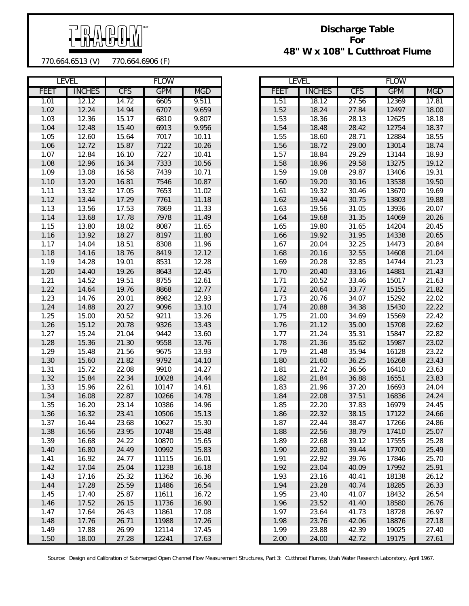

## **Discharge Table For 48" W x 108" L Cutthroat Flume**

770.664.6513 (V) 770.664.6906 (F)

| <b>LEVEL</b> |               |            | <b>FLOW</b> |            |
|--------------|---------------|------------|-------------|------------|
| FEET         | <b>INCHES</b> | <b>CFS</b> | <b>GPM</b>  | <b>MGD</b> |
| 1.01         | 12.12         | 14.72      | 6605        | 9.511      |
| 1.02         | 12.24         | 14.94      | 6707        | 9.659      |
| 1.03         | 12.36         | 15.17      | 6810        | 9.807      |
| 1.04         | 12.48         | 15.40      | 6913        | 9.956      |
| 1.05         | 12.60         | 15.64      | 7017        | 10.11      |
| 1.06         | 12.72         | 15.87      | 7122        | 10.26      |
| 1.07         | 12.84         | 16.10      | 7227        | 10.41      |
| 1.08         | 12.96         | 16.34      | 7333        | 10.56      |
| 1.09         | 13.08         | 16.58      | 7439        | 10.71      |
| 1.10         | 13.20         | 16.81      | 7546        | 10.87      |
| 1.11         | 13.32         | 17.05      | 7653        | 11.02      |
| 1.12         | 13.44         | 17.29      | 7761        | 11.18      |
| 1.13         | 13.56         | 17.53      | 7869        | 11.33      |
| 1.14         | 13.68         | 17.78      | 7978        | 11.49      |
|              |               |            |             |            |
| 1.15         | 13.80         | 18.02      | 8087        | 11.65      |
| 1.16         | 13.92         | 18.27      | 8197        | 11.80      |
| 1.17         | 14.04         | 18.51      | 8308        | 11.96      |
| 1.18         | 14.16         | 18.76      | 8419        | 12.12      |
| 1.19         | 14.28         | 19.01      | 8531        | 12.28      |
| 1.20         | 14.40         | 19.26      | 8643        | 12.45      |
| 1.21         | 14.52         | 19.51      | 8755        | 12.61      |
| 1.22         | 14.64         | 19.76      | 8868        | 12.77      |
| 1.23         | 14.76         | 20.01      | 8982        | 12.93      |
| 1.24         | 14.88         | 20.27      | 9096        | 13.10      |
| 1.25         | 15.00         | 20.52      | 9211        | 13.26      |
| 1.26         | 15.12         | 20.78      | 9326        | 13.43      |
| 1.27         | 15.24         | 21.04      | 9442        | 13.60      |
| 1.28         | 15.36         | 21.30      | 9558        | 13.76      |
| 1.29         | 15.48         | 21.56      | 9675        | 13.93      |
| 1.30         | 15.60         | 21.82      | 9792        | 14.10      |
| 1.31         | 15.72         | 22.08      | 9910        | 14.27      |
| 1.32         | 15.84         | 22.34      | 10028       | 14.44      |
| 1.33         | 15.96         | 22.61      | 10147       | 14.61      |
|              |               |            |             |            |
| 1.34         | 16.08         | 22.87      | 10266       | 14.78      |
| 1.35         | 16.20         | 23.14      | 10386       | 14.96      |
| 1.36         | 16.32         | 23.41      | 10506       | 15.13      |
| 1.37         | 16.44         | 23.68      | 10627       | 15.30      |
| 1.38         | 16.56         | 23.95      | 10748       | 15.48      |
| 1.39         | 16.68         | 24.22      | 10870       | 15.65      |
| 1.40         | 16.80         | 24.49      | 10992       | 15.83      |
| 1.41         | 16.92         | 24.77      | 11115       | 16.01      |
| 1.42         | 17.04         | 25.04      | 11238       | 16.18      |
| 1.43         | 17.16         | 25.32      | 11362       | 16.36      |
| 1.44         | 17.28         | 25.59      | 11486       | 16.54      |
| 1.45         | 17.40         | 25.87      | 11611       | 16.72      |
| 1.46         | 17.52         | 26.15      | 11736       | 16.90      |
| 1.47         | 17.64         | 26.43      | 11861       | 17.08      |
| 1.48         | 17.76         | 26.71      | 11988       | 17.26      |
| 1.49         | 17.88         | 26.99      | 12114       | 17.45      |
|              |               |            |             |            |
| 1.50         | 18.00         | 27.28      | 12241       | 17.63      |

|             | <b>LEVEL</b>  | <b>FLOW</b> |            |            |  |  |  |
|-------------|---------------|-------------|------------|------------|--|--|--|
| <b>FEET</b> | <b>INCHES</b> | <b>CFS</b>  | <b>GPM</b> | <b>MGD</b> |  |  |  |
| 1.51        | 18.12         | 27.56       | 12369      | 17.81      |  |  |  |
| 1.52        | 18.24         | 27.84       | 12497      | 18.00      |  |  |  |
| 1.53        | 18.36         | 28.13       | 12625      | 18.18      |  |  |  |
| 1.54        | 18.48         | 28.42       | 12754      | 18.37      |  |  |  |
| 1.55        | 18.60         | 28.71       | 12884      | 18.55      |  |  |  |
| 1.56        | 18.72         | 29.00       | 13014      | 18.74      |  |  |  |
| 1.57        | 18.84         | 29.29       | 13144      | 18.93      |  |  |  |
| 1.58        | 18.96         | 29.58       | 13275      | 19.12      |  |  |  |
| 1.59        | 19.08         | 29.87       | 13406      | 19.31      |  |  |  |
| 1.60        | 19.20         | 30.16       | 13538      | 19.50      |  |  |  |
| 1.61        | 19.32         | 30.46       | 13670      | 19.69      |  |  |  |
| 1.62        | 19.44         | 30.75       | 13803      | 19.88      |  |  |  |
| 1.63        | 19.56         | 31.05       | 13936      | 20.07      |  |  |  |
| 1.64        | 19.68         | 31.35       | 14069      | 20.26      |  |  |  |
| 1.65        | 19.80         | 31.65       | 14204      | 20.45      |  |  |  |
| 1.66        | 19.92         | 31.95       | 14338      | 20.65      |  |  |  |
| 1.67        | 20.04         | 32.25       | 14473      | 20.84      |  |  |  |
| 1.68        | 20.16         | 32.55       | 14608      | 21.04      |  |  |  |
| 1.69        | 20.28         | 32.85       | 14744      | 21.23      |  |  |  |
| 1.70        | 20.40         | 33.16       | 14881      | 21.43      |  |  |  |
| 1.71        | 20.52         | 33.46       | 15017      | 21.63      |  |  |  |
| 1.72        | 20.64         | 33.77       | 15155      | 21.82      |  |  |  |
| 1.73        | 20.76         | 34.07       | 15292      | 22.02      |  |  |  |
| 1.74        | 20.88         | 34.38       | 15430      | 22.22      |  |  |  |
| 1.75        | 21.00         | 34.69       | 15569      | 22.42      |  |  |  |
| 1.76        | 21.12         | 35.00       | 15708      | 22.62      |  |  |  |
| 1.77        | 21.24         | 35.31       | 15847      | 22.82      |  |  |  |
| 1.78        | 21.36         | 35.62       | 15987      | 23.02      |  |  |  |
| 1.79        | 21.48         | 35.94       | 16128      | 23.22      |  |  |  |
| 1.80        | 21.60         | 36.25       | 16268      | 23.43      |  |  |  |
| 1.81        | 21.72         | 36.56       | 16410      | 23.63      |  |  |  |
| 1.82        | 21.84         | 36.88       | 16551      | 23.83      |  |  |  |
| 1.83        | 21.96         | 37.20       | 16693      | 24.04      |  |  |  |
| 1.84        | 22.08         | 37.51       | 16836      | 24.24      |  |  |  |
| 1.85        | 22.20         | 37.83       | 16979      | 24.45      |  |  |  |
| 1.86        | 22.32         | 38.15       | 17122      | 24.66      |  |  |  |
| 1.87        | 22.44         | 38.47       | 17266      | 24.86      |  |  |  |
| 1.88        | 22.56         | 38.79       | 17410      | 25.07      |  |  |  |
| 1.89        | 22.68         | 39.12       | 17555      | 25.28      |  |  |  |
| 1.90        | 22.80         | 39.44       | 17700      | 25.49      |  |  |  |
| 1.91        | 22.92         | 39.76       | 17846      | 25.70      |  |  |  |
| 1.92        | 23.04         | 40.09       | 17992      | 25.91      |  |  |  |
| 1.93        | 23.16         | 40.41       | 18138      | 26.12      |  |  |  |
| 1.94        | 23.28         | 40.74       | 18285      | 26.33      |  |  |  |
| 1.95        | 23.40         | 41.07       | 18432      | 26.54      |  |  |  |
| 1.96        | 23.52         | 41.40       | 18580      | 26.76      |  |  |  |
| 1.97        | 23.64         | 41.73       | 18728      | 26.97      |  |  |  |
| 1.98        | 23.76         | 42.06       | 18876      | 27.18      |  |  |  |
| 1.99        | 23.88         | 42.39       | 19025      | 27.40      |  |  |  |
| 2.00        | 24.00         | 42.72       | 19175      | 27.61      |  |  |  |

Source: Design and Calibration of Submerged Open Channel Flow Measurement Structures, Part 3: Cutthroat Flumes, Utah Water Research Laboratory, April 1967.